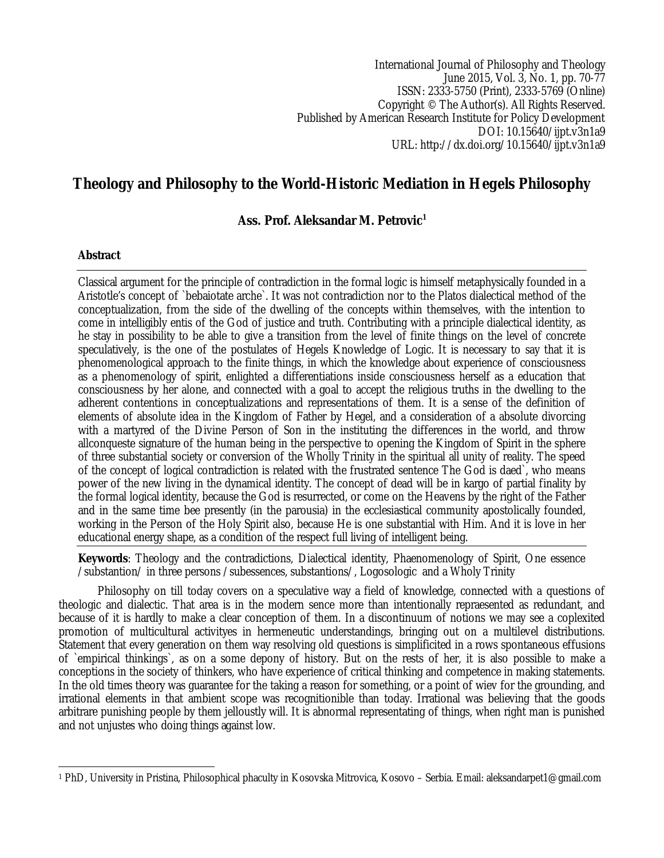International Journal of Philosophy and Theology June 2015, Vol. 3, No. 1, pp. 70-77 ISSN: 2333-5750 (Print), 2333-5769 (Online) Copyright © The Author(s). All Rights Reserved. Published by American Research Institute for Policy Development DOI: 10.15640/ijpt.v3n1a9 URL: http://dx.doi.org/10.15640/ijpt.v3n1a9

# **Theology and Philosophy to the World-Historic Mediation in Hegels Philosophy**

## **Ass. Prof. Aleksandar M. Petrovic<sup>1</sup>**

### **Abstract**

Classical argument for the principle of contradiction in the formal logic is himself metaphysically founded in a Aristotle's concept of `bebaiotate arche`. It was not contradiction nor to the Platos dialectical method of the conceptualization, from the side of the dwelling of the concepts within themselves, with the intention to come in intelligibly entis of the God of justice and truth. Contributing with a principle dialectical identity, as he stay in possibility to be able to give a transition from the level of finite things on the level of concrete speculatively, is the one of the postulates of Hegels Knowledge of Logic. It is necessary to say that it is phenomenological approach to the finite things, in which the knowledge about experience of consciousness as a phenomenology of spirit, enlighted a differentiations inside consciousness herself as a education that consciousness by her alone, and connected with a goal to accept the religious truths in the dwelling to the adherent contentions in conceptualizations and representations of them. It is a sense of the definition of elements of absolute idea in the Kingdom of Father by Hegel, and a consideration of a absolute divorcing with a martyred of the Divine Person of Son in the instituting the differences in the world, and throw allconqueste signature of the human being in the perspective to opening the Kingdom of Spirit in the sphere of three substantial society or conversion of the Wholly Trinity in the spiritual all unity of reality. The speed of the concept of logical contradiction is related with the frustrated sentence The God is daed`, who means power of the new living in the dynamical identity. The concept of dead will be in kargo of partial finality by the formal logical identity, because the God is resurrected, or come on the Heavens by the right of the Father and in the same time bee presently (in the parousia) in the ecclesiastical community apostolically founded, working in the Person of the Holy Spirit also, because He is one substantial with Him. And it is love in her educational energy shape, as a condition of the respect full living of intelligent being.

**Keywords**: Theology and the contradictions, Dialectical identity, Phaenomenology of Spirit, One essence /substantion/ in three persons /subessences, substantions/, Logosologic and a Wholy Trinity

Philosophy on till today covers on a speculative way a field of knowledge, connected with a questions of theologic and dialectic. That area is in the modern sence more than intentionally repraesented as redundant, and because of it is hardly to make a clear conception of them. In a discontinuum of notions we may see a coplexited promotion of multicultural activityes in hermeneutic understandings, bringing out on a multilevel distributions. Statement that every generation on them way resolving old questions is simplificited in a rows spontaneous effusions of `empirical thinkings`, as on a some depony of history. But on the rests of her, it is also possible to make a conceptions in the society of thinkers, who have experience of critical thinking and competence in making statements. In the old times theory was guarantee for the taking a reason for something, or a point of wiev for the grounding, and irrational elements in that ambient scope was recognitionible than today. Irrational was believing that the goods arbitrare punishing people by them jelloustly will. It is abnormal representating of things, when right man is punished and not unjustes who doing things against low.

 $\overline{a}$ <sup>1</sup> PhD, University in Pristina, Philosophical phaculty in Kosovska Mitrovica, Kosovo – Serbia. Email: aleksandarpet1@gmail.com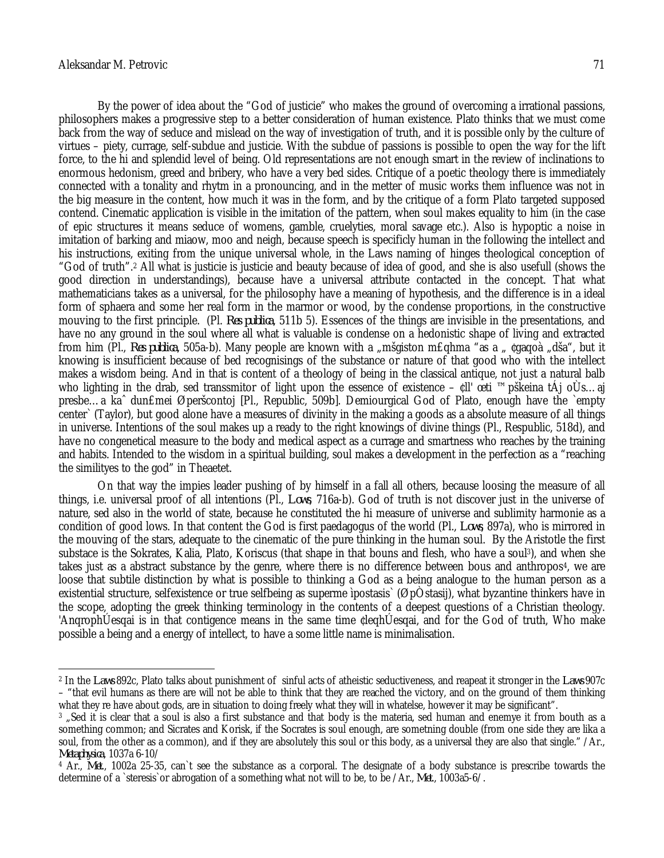By the power of idea about the "God of justicie" who makes the ground of overcoming a irrational passions, philosophers makes a progressive step to a better consideration of human existence. Plato thinks that we must come back from the way of seduce and mislead on the way of investigation of truth, and it is possible only by the culture of virtues – piety, currage, self-subdue and justicie. With the subdue of passions is possible to open the way for the lift force, to the hi and splendid level of being. Old representations are not enough smart in the review of inclinations to enormous hedonism, greed and bribery, who have a very bed sides. Critique of a poetic theology there is immediately connected with a tonality and rhytm in a pronouncing, and in the metter of music works them influence was not in the big measure in the content, how much it was in the form, and by the critique of a form Plato targeted supposed contend. Cinematic application is visible in the imitation of the pattern, when soul makes equality to him (in the case of epic structures it means seduce of womens, gamble, cruelyties, moral savage etc.). Also is hypoptic a noise in imitation of barking and miaow, moo and neigh, because speech is specificly human in the following the intellect and his instructions, exiting from the unique universal whole, in the Laws naming of hinges theological conception of "God of truth".<sup>2</sup> All what is justicie is justicie and beauty because of idea of good, and she is also usefull (shows the good direction in understandings), because have a universal attribute contacted in the concept. That what mathematicians takes as a universal, for the philosophy have a meaning of hypothesis, and the difference is in a ideal form of sphaera and some her real form in the marmor or wood, by the condense proportions, in the constructive mouving to the first principle. (Pl. *Res publica*, 511b 5). Essences of the things are invisible in the presentations, and have no any ground in the soul where all what is valuable is condense on a hedonistic shape of living and extracted from him (Pl., *Res publica*, 505a-b). Many people are known with a "mšgiston m£ghma "as a " ¢gagoà "dša", but it knowing is insufficient because of bed recognisings of the substance or nature of that good who with the intellect makes a wisdom being. And in that is content of a theology of being in the classical antique, not just a natural balb who lighting in the drab, sed transsmitor of light upon the essence of existence – ¢ll' œti ™pškeina tÁj oÙs…aj presbe…a kaˆ dun£mei Øperšcontoj [Pl., Republic, 509b]. Demiourgical God of Plato, enough have the `empty center` (Taylor), but good alone have a measures of divinity in the making a goods as a absolute measure of all things in universe. Intentions of the soul makes up a ready to the right knowings of divine things (Pl., Respublic, 518d), and have no congenetical measure to the body and medical aspect as a currage and smartness who reaches by the training and habits. Intended to the wisdom in a spiritual building, soul makes a development in the perfection as a "reaching the similityes to the god" in Theaetet.

On that way the impies leader pushing of by himself in a fall all others, because loosing the measure of all things, i.e. universal proof of all intentions (Pl., *Lows*, 716a-b). God of truth is not discover just in the universe of nature, sed also in the world of state, because he constituted the hi measure of universe and sublimity harmonie as a condition of good lows. In that content the God is first paedagogus of the world (Pl., *Lows*, 897a), who is mirrored in the mouving of the stars, adequate to the cinematic of the pure thinking in the human soul. By the Aristotle the first substace is the Sokrates, Kalia, Plato, Koriscus (that shape in that bouns and flesh, who have a soul<sup>3</sup>), and when she takes just as a abstract substance by the genre, where there is no difference between bous and anthropos<sup>4</sup>, we are loose that subtile distinction by what is possible to thinking a God as a being analogue to the human person as a existential structure, selfexistence or true selfbeing as superme ìpostasis` (ØpÒstasij), what byzantine thinkers have in the scope, adopting the greek thinking terminology in the contents of a deepest questions of a Christian theology. 'AnqrophÚesqai is in that contigence means in the same time ¢leqhÚesqai, and for the God of truth, Who make possible a being and a energy of intellect, to have a some little name is minimalisation.

 $\overline{a}$ <sup>2</sup> In the *Laws* 892c, Plato talks about punishment of sinful acts of atheistic seductiveness, and reapeat it stronger in the *Laws* 907c – "that evil humans as there are will not be able to think that they are reached the victory, and on the ground of them thinking what they re have about gods, are in situation to doing freely what they will in whatelse, however it may be significant".

<sup>&</sup>lt;sup>3</sup> . Sed it is clear that a soul is also a first substance and that body is the materia, sed human and enemye it from bouth as a something common; and Sicrates and Korisk, if the Socrates is soul enough, are sometning double (from one side they are lika a soul, from the other as a common), and if they are absolutely this soul or this body, as a universal they are also that single." /Ar., *Metaphysica*, 1037a 6-10/

<sup>4</sup> Ar., *Met*., 1002a 25-35, can`t see the substance as a corporal. The designate of a body substance is prescribe towards the determine of a `steresis`or abrogation of a something what not will to be, to be /Ar., *Met*., 1003a5-6/.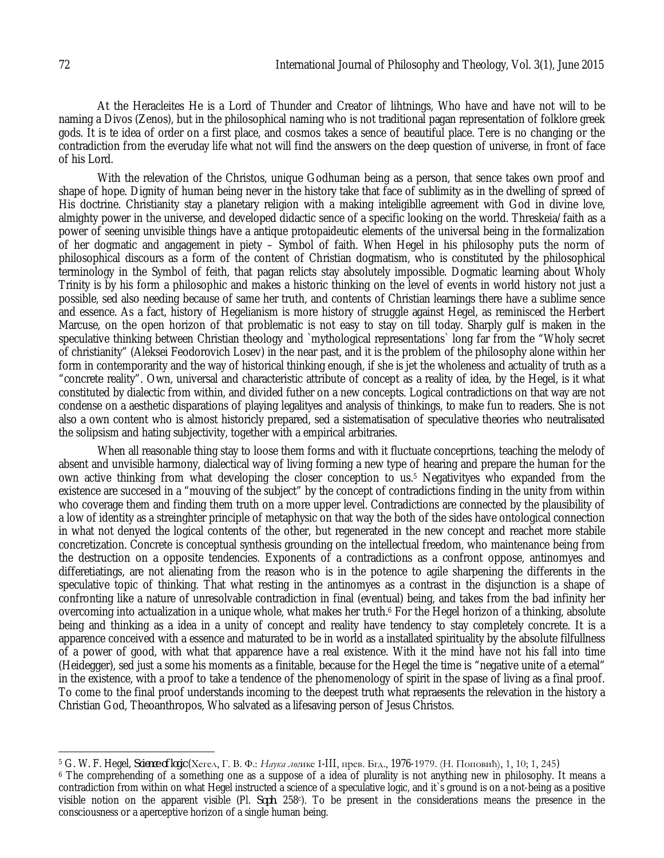At the Heracleites He is a Lord of Thunder and Creator of lihtnings, Who have and have not will to be naming a Divos (Zenos), but in the philosophical naming who is not traditional pagan representation of folklore greek gods. It is te idea of order on a first place, and cosmos takes a sence of beautiful place. Tere is no changing or the contradiction from the everuday life what not will find the answers on the deep question of universe, in front of face of his Lord.

With the relevation of the Christos, unique Godhuman being as a person, that sence takes own proof and shape of hope. Dignity of human being never in the history take that face of sublimity as in the dwelling of spreed of His doctrine. Christianity stay a planetary religion with a making inteligiblle agreement with God in divine love, almighty power in the universe, and developed didactic sence of a specific looking on the world. Threskeia/faith as a power of seening unvisible things have a antique protopaideutic elements of the universal being in the formalization of her dogmatic and angagement in piety – Symbol of faith. When Hegel in his philosophy puts the norm of philosophical discours as a form of the content of Christian dogmatism, who is constituted by the philosophical terminology in the Symbol of feith, that pagan relicts stay absolutely impossible. Dogmatic learning about Wholy Trinity is by his form a philosophic and makes a historic thinking on the level of events in world history not just a possible, sed also needing because of same her truth, and contents of Christian learnings there have a sublime sence and essence. As a fact, history of Hegelianism is more history of struggle against Hegel, as reminisced the Herbert Marcuse, on the open horizon of that problematic is not easy to stay on till today. Sharply gulf is maken in the speculative thinking between Christian theology and `mythological representations` long far from the "Wholy secret of christianity" (Aleksei Feodorovich Losev) in the near past, and it is the problem of the philosophy alone within her form in contemporarity and the way of historical thinking enough, if she is jet the wholeness and actuality of truth as a "concrete reality". Own, universal and characteristic attribute of concept as a reality of idea, by the Hegel, is it what constituted by dialectic from within, and divided futher on a new concepts. Logical contradictions on that way are not condense on a aesthetic disparations of playing legalityes and analysis of thinkings, to make fun to readers. She is not also a own content who is almost historicly prepared, sed a sistematisation of speculative theories who neutralisated the solipsism and hating subjectivity, together with a empirical arbitraries.

When all reasonable thing stay to loose them forms and with it fluctuate conceprtions, teaching the melody of absent and unvisible harmony, dialectical way of living forming a new type of hearing and prepare the human for the own active thinking from what developing the closer conception to us.<sup>5</sup> Negativityes who expanded from the existence are succesed in a "mouving of the subject" by the concept of contradictions finding in the unity from within who coverage them and finding them truth on a more upper level. Contradictions are connected by the plausibility of a low of identity as a streinghter principle of metaphysic on that way the both of the sides have ontological connection in what not denyed the logical contents of the other, but regenerated in the new concept and reachet more stabile concretization. Concrete is conceptual synthesis grounding on the intellectual freedom, who maintenance being from the destruction on a opposite tendencies. Exponents of a contradictions as a confront oppose, antinomyes and differetiatings, are not alienating from the reason who is in the potence to agile sharpening the differents in the speculative topic of thinking. That what resting in the antinomyes as a contrast in the disjunction is a shape of confronting like a nature of unresolvable contradiction in final (eventual) being, and takes from the bad infinity her overcoming into actualization in a unique whole, what makes her truth.<sup>6</sup> For the Hegel horizon of a thinking, absolute being and thinking as a idea in a unity of concept and reality have tendency to stay completely concrete. It is a apparence conceived with a essence and maturated to be in world as a installated spirituality by the absolute filfullness of a power of good, with what that apparence have a real existence. With it the mind have not his fall into time (Heidegger), sed just a some his moments as a finitable, because for the Hegel the time is "negative unite of a eternal" in the existence, with a proof to take a tendence of the phenomenology of spirit in the spase of living as a final proof. To come to the final proof understands incoming to the deepest truth what repraesents the relevation in the history a Christian God, Theoanthropos, Who salvated as a lifesaving person of Jesus Christos.

 $\overline{a}$ <sup>5</sup> G. W. F. Hegel, *Science of logic* (Хегел, Г. В. Ф.: *Наука лог*ике I-III, прев. Бгд., 1976-1979. (Н. Поповић), 1, 10; 1, 245)

<sup>6</sup> The comprehending of a something one as a suppose of a idea of plurality is not anything new in philosophy. It means a contradiction from within on what Hegel instructed a science of a speculative logic, and it`s ground is on a not-being as a positive visible notion on the apparent visible (Pl. *Soph.* 258°). To be present in the considerations means the presence in the consciousness or a aperceptive horizon of a single human being.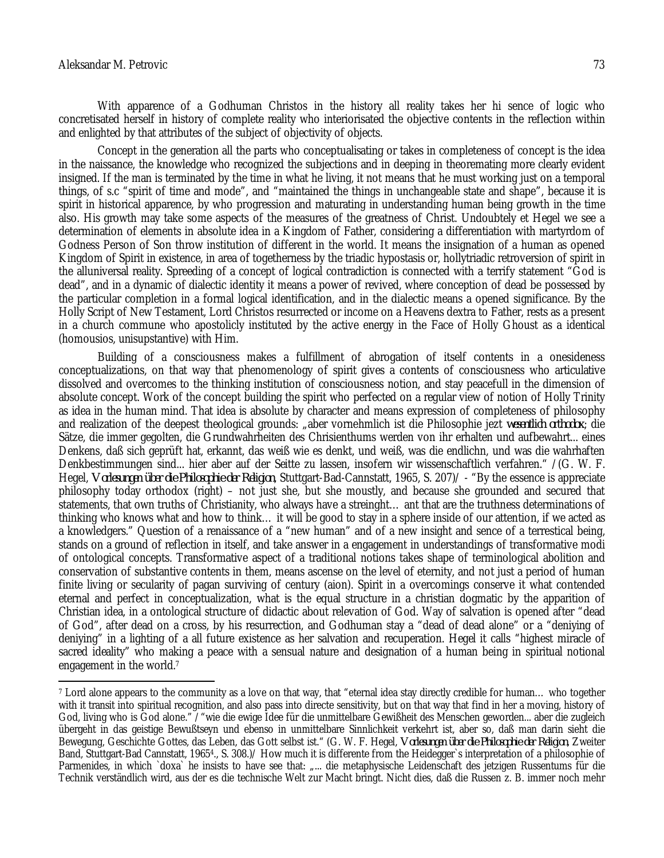#### Aleksandar M. Petrovic 73

 $\overline{a}$ 

With apparence of a Godhuman Christos in the history all reality takes her hi sence of logic who concretisated herself in history of complete reality who interiorisated the objective contents in the reflection within and enlighted by that attributes of the subject of objectivity of objects.

Concept in the generation all the parts who conceptualisating or takes in completeness of concept is the idea in the naissance, the knowledge who recognized the subjections and in deeping in theoremating more clearly evident insigned. If the man is terminated by the time in what he living, it not means that he must working just on a temporal things, of s.c "spirit of time and mode", and "maintained the things in unchangeable state and shape", because it is spirit in historical apparence, by who progression and maturating in understanding human being growth in the time also. His growth may take some aspects of the measures of the greatness of Christ. Undoubtely et Hegel we see a determination of elements in absolute idea in a Kingdom of Father, considering a differentiation with martyrdom of Godness Person of Son throw institution of different in the world. It means the insignation of a human as opened Kingdom of Spirit in existence, in area of togetherness by the triadic hypostasis or, hollytriadic retroversion of spirit in the alluniversal reality. Spreeding of a concept of logical contradiction is connected with a terrify statement "God is dead", and in a dynamic of dialectic identity it means a power of revived, where conception of dead be possessed by the particular completion in a formal logical identification, and in the dialectic means a opened significance. By the Holly Script of New Testament, Lord Christos resurrected or income on a Heavens dextra to Father, rests as a present in a church commune who apostolicly instituted by the active energy in the Face of Holly Ghoust as a identical (homousios, unisupstantive) with Him.

Building of a consciousness makes a fulfillment of abrogation of itself contents in a onesideness conceptualizations, on that way that phenomenology of spirit gives a contents of consciousness who articulative dissolved and overcomes to the thinking institution of consciousness notion, and stay peacefull in the dimension of absolute concept. Work of the concept building the spirit who perfected on a regular view of notion of Holly Trinity as idea in the human mind. That idea is absolute by character and means expression of completeness of philosophy and realization of the deepest theological grounds: "aber vornehmlich ist die Philosophie jezt *wesentlich orthodox*; die Sätze, die immer gegolten, die Grundwahrheiten des Chrisienthums werden von ihr erhalten und aufbewahrt... eines Denkens, daß sich geprüft hat, erkannt, das weiß wie es denkt, und weiß, was die endlichn, und was die wahrhaften Denkbestimmungen sind... hier aber auf der Seitte zu lassen, insofern wir wissenschaftlich verfahren." /(G. W. F. Hegel, *Vorlesungen über die Philosophie der Religion*, Stuttgart-Bad-Cannstatt, 1965, S. 207)/ - "By the essence is appreciate philosophy today orthodox (right) – not just she, but she moustly, and because she grounded and secured that statements, that own truths of Christianity, who always have a streinght… ant that are the truthness determinations of thinking who knows what and how to think… it will be good to stay in a sphere inside of our attention, if we acted as a knowledgers." Question of a renaissance of a "new human" and of a new insight and sence of a terrestical being, stands on a ground of reflection in itself, and take answer in a engagement in understandings of transformative modi of ontological concepts. Transformative aspect of a traditional notions takes shape of terminological abolition and conservation of substantive contents in them, means ascense on the level of eternity, and not just a period of human finite living or secularity of pagan surviving of century (aion). Spirit in a overcomings conserve it what contended eternal and perfect in conceptualization, what is the equal structure in a christian dogmatic by the apparition of Christian idea, in a ontological structure of didactic about relevation of God. Way of salvation is opened after "dead of God", after dead on a cross, by his resurrection, and Godhuman stay a "dead of dead alone" or a "deniying of deniying" in a lighting of a all future existence as her salvation and recuperation. Hegel it calls "highest miracle of sacred ideality" who making a peace with a sensual nature and designation of a human being in spiritual notional engagement in the world.<sup>7</sup>

<sup>7</sup> Lord alone appears to the community as a love on that way, that "eternal idea stay directly credible for human… who together with it transit into spiritual recognition, and also pass into directe sensitivity, but on that way that find in her a moving, history of God, living who is God alone." /"wie die ewige Idee für die unmittelbare Gewißheit des Menschen geworden... aber die zugleich übergeht in das geistige Bewußtseyn und ebenso in unmittelbare Sinnlichkeit verkehrt ist, aber so, daß man darin sieht die Bewegung, Geschichte Gottes, das Leben, das Gott selbst ist." (G. W. F. Hegel, *Vorlesungen über die Philosophie der Religion*, Zweiter Band, Stuttgart-Bad Cannstatt, 19654., S. 308.)/ How much it is differente from the Heidegger`s interpretation of a philosophie of Parmenides, in which `doxa` he insists to have see that: "... die metaphysische Leidenschaft des jetzigen Russentums für die Technik verständlich wird, aus der es die technische Welt zur Macht bringt. Nicht dies, daß die Russen z. B. immer noch mehr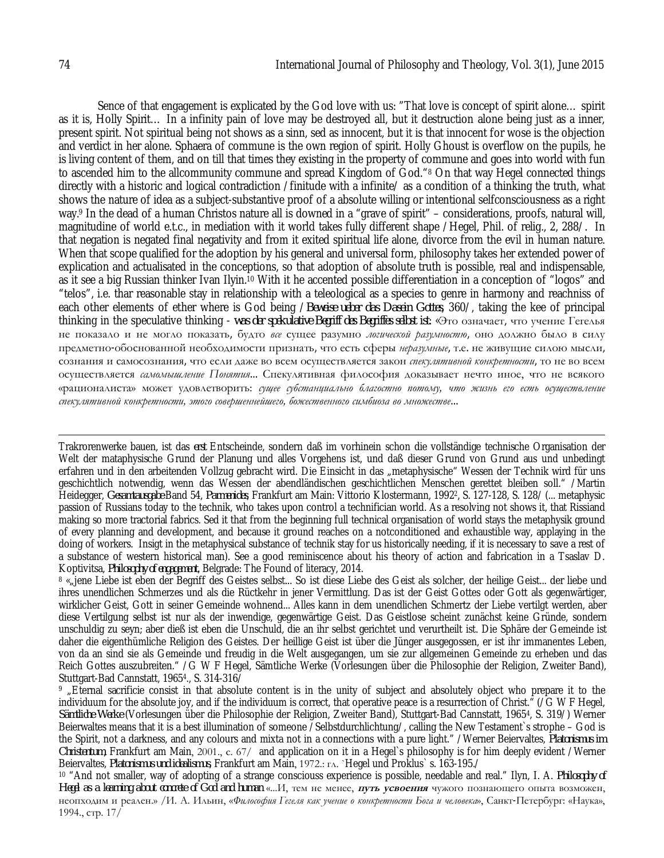Sence of that engagement is explicated by the God love with us: "That love is concept of spirit alone… spirit as it is, Holly Spirit… In a infinity pain of love may be destroyed all, but it destruction alone being just as a inner, present spirit. Not spiritual being not shows as a sinn, sed as innocent, but it is that innocent for wose is the objection and verdict in her alone. Sphaera of commune is the own region of spirit. Holly Ghoust is overflow on the pupils, he is living content of them, and on till that times they existing in the property of commune and goes into world with fun to ascended him to the allcommunity commune and spread Kingdom of God."<sup>8</sup> On that way Hegel connected things directly with a historic and logical contradiction /finitude with a infinite/ as a condition of a thinking the truth, what shows the nature of idea as a subject-substantive proof of a absolute willing or intentional selfconsciousness as a right way.<sup>9</sup> In the dead of a human Christos nature all is downed in a "grave of spirit" – considerations, proofs, natural will, magnitudine of world e.t.c., in mediation with it world takes fully different shape /Hegel, Phil. of relig., 2, 288/. In that negation is negated final negativity and from it exited spiritual life alone, divorce from the evil in human nature. When that scope qualified for the adoption by his general and universal form, philosophy takes her extended power of explication and actualisated in the conceptions, so that adoption of absolute truth is possible, real and indispensable, as it see a big Russian thinker Ivan Ilyin.<sup>10</sup> With it he accented possible differentiation in a conception of "logos" and "telos", i.e. thar reasonable stay in relationship with a teleological as a species to genre in harmony and reachniss of each other elements of ether where is God being /*Beweise ueber das Dasein Gottes*, 360/, taking the kee of principal thinking in the speculative thinking - *was der spekulative Begriff des Begriffes selbst ist*: «Это означает, что учение Гегелья не показало и не могло показать, будто *все* сущее разумно *логической разумностю*, оно должно было в силу предметно-обоснованной необходимости признать, что есть сферы *неразумные*, т.е. не живущие силою мысли, сознания и самосознания, что если даже во всем осуществляется закон *спекулятивной конкретности*, то не во всем осуществляется *самомышление Понятия*... Спекулятивная философия доказывает нечто иное, что не всякого «рационалиста» может удовлетворить: *сущее субстанциально благостно потому, что жизнь его есть осуществление спекулятивной конкретности, этого совершеннейшего, божественного симбиоза во множестве*...

 $\overline{a}$ Trakrorenwerke bauen, ist das *erst* Entscheinde, sondern daß im vorhinein schon die vollständige technische Organisation der Welt der mataphysische Grund der Planung und alles Vorgehens ist, und daß dieser Grund von Grund aus und unbedingt erfahren und in den arbeitenden Vollzug gebracht wird. Die Einsicht in das "metaphysische" Wessen der Technik wird für uns geschichtlich notwendig, wenn das Wessen der abendländischen geschichtlichen Menschen gerettet bleiben soll." /Martin Heidegger, *Gesamtausgabe* Band 54, *Parmenides*, Frankfurt am Main: Vittorio Klostermann, 1992<sup>2</sup> , S. 127-128, S. 128/ (... metaphysic passion of Russians today to the technik, who takes upon control a technifician world. As a resolving not shows it, that Rissiand making so more tractorial fabrics. Sed it that from the beginning full technical organisation of world stays the metaphysik ground of every planning and development, and because it ground reaches on a notconditioned and exhaustible way, applaying in the doing of workers. Insigt in the metaphysical substance of technik stay for us historically needing, if it is necessary to save a rest of a substance of western historical man). See a good reminiscence about his theory of action and fabrication in a Tsaslav D. Koptivitsa, *Philosophy of engagement*, Belgrade: The Found of literacy, 2014.

<sup>8</sup> « jene Liebe ist eben der Begriff des Geistes selbst... So ist diese Liebe des Geist als solcher, der heilige Geist... der liebe und ihres unendlichen Schmerzes und als die Rüctkehr in jener Vermittlung. Das ist der Geist Gottes oder Gott als gegenwärtiger, wirklicher Geist, Gott in seiner Gemeinde wohnend... Alles kann in dem unendlichen Schmertz der Liebe vertilgt werden, aber diese Vertilgung selbst ist nur als der inwendige, gegenwärtige Geist. Das Geistlose scheint zunächst keine Gründe, sondern unschuldig zu seyn; aber dieß ist eben die Unschuld, die an ihr selbst gerichtet und verurtheilt ist. Die Sphäre der Gemeinde ist daher die eigenthümliche Religion des Geistes. Der heillige Geist ist über die Jünger ausgegossen, er ist ihr immanentes Leben, von da an sind sie als Gemeinde und freudig in die Welt ausgegangen, um sie zur allgemeinen Gemeinde zu erheben und das Reich Gottes auszubreiten." /G W F Hegel, Sämtliche Werke (Vorlesungen über die Philosophie der Religion, Zweiter Band), Stuttgart-Bad Cannstatt, 1965<sup>4</sup> ., S. 314-316/

<sup>9</sup> "Eternal sacrificie consist in that absolute content is in the unity of subject and absolutely object who prepare it to the individuum for the absolute joy, and if the individuum is correct, that operative peace is a resurrection of Christ." (/G W F Hegel, *Sämtliche Werke* (Vorlesungen über die Philosophie der Religion, Zweiter Band), Stuttgart-Bad Cannstatt, 1965<sup>4</sup> , S. 319/) Werner Beierwaltes means that it is a best illumination of someone /Selbstdurchlichtung/, calling the New Testament`s strophe – God is the Spirit, not a darkness, and any colours and mixta not in a connections with a pure light." /Werner Beiervaltes, *Platonismus im Christentum,* Frankfurt am Main, 2001., с. 67/ and application on it in a Hegel`s philosophy is for him deeply evident /Werner Beiervaltes, *Platonismus und idealismus*, Frankfurt am Main, 1972.: гл. `Hegel und Proklus` s. 163-195./

<sup>10</sup> "And not smaller, way of adopting of a strange consciouss experience is possible, needable and real." Ilyn, I. A. *Philosophy of Hegel as a learning about concrete of God and human* «...И, тем не менее, *путь усвоения* чужого познающего опыта возможен, неопходим и реален.» /И. А. Ильин, «*Философия Гегеля как учение о конкретности Бога и человека*», Санкт-Петербург: «Наука», 1994., стр. 17/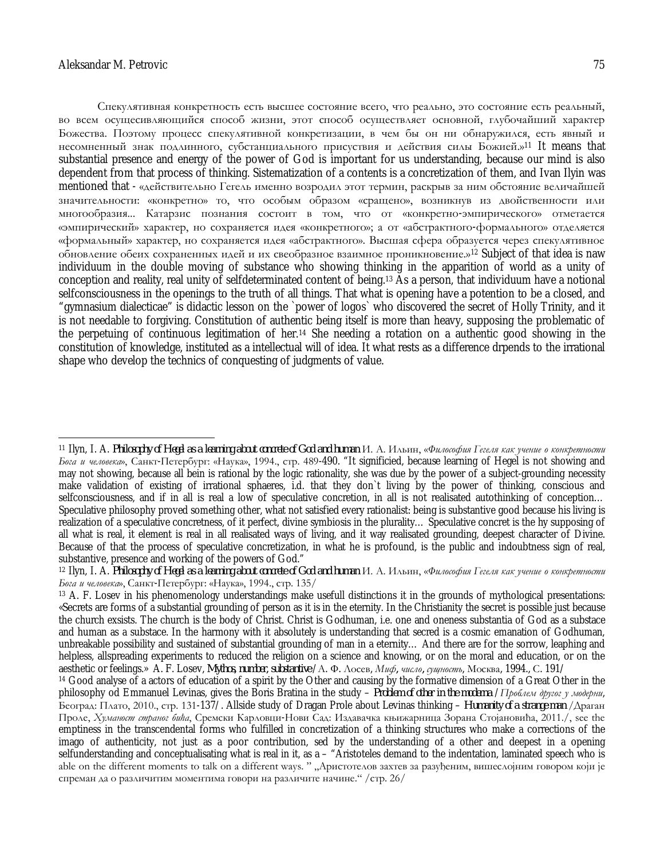Спекулятивная конкретность есть высшее состояние всего, что реально, это состояние есть реальный, во всем осущесивляющийся способ жизни, этот способ осуществляет основной, глубочайший характер Божества. Поэтому процесс спекулятивной конкретизации, в чем бы он ни обнаружился, есть явный и несомненный знак подлинного, субстанциального присуствия и действия силы Божией.»<sup>11</sup> It means that substantial presence and energy of the power of God is important for us understanding, because our mind is also dependent from that process of thinking. Sistematization of a contents is a concretization of them, and Ivan Ilyin was mentioned that - «действительно Гегель именно возродил этот термин, раскрыв за ним обстояние величайшей значительности: «конкретно» то, что особым образом «сращено», возникнув из двойственности или многообразия... Катарзис познания состоит в том, что от «конкретно-эмпирического» отметается «эмпирический» характер, но сохраняется идея «конкретного»; а от «абстрактного-формального» отделяется «формальный» характер, но сохраняется идея «абстрактного». Высшая сфера образуется через спекулятивное обновление обеих сохраненных идей и их свеобразное взаимное проникновение.»<sup>12</sup> Subject of that idea is naw individuum in the double moving of substance who showing thinking in the apparition of world as a unity of conception and reality, real unity of selfdeterminated content of being.<sup>13</sup> As a person, that individuum have a notional selfconsciousness in the openings to the truth of all things. That what is opening have a potention to be a closed, and "gymnasium dialecticae" is didactic lesson on the `power of logos` who discovered the secret of Holly Trinity, and it is not needable to forgiving. Constitution of authentic being itself is more than heavy, supposing the problematic of the perpetuing of continuous legitimation of her.<sup>14</sup> She needing a rotation on a authentic good showing in the constitution of knowledge, instituted as a intellectual will of idea. It what rests as a difference drpends to the irrational shape who develop the technics of conquesting of judgments of value.

 $\overline{a}$ <sup>11</sup> Uvn. L. A. Philosophy of Hegel as a learning about concrete of God and human M. A. Ильин. «Филособия Гегеля как учение о конкретности *Бога и человека*», Санкт-Петербург: «Наука», 1994., стр. 489-490. "It significied, because learning of Hegel is not showing and may not showing, because all bein is rational by the logic rationality, she was due by the power of a subject-grounding necessity make validation of existing of irrational sphaeres, i.d. that they don`t living by the power of thinking, conscious and selfconsciousness, and if in all is real a low of speculative concretion, in all is not realisated autothinking of conception… Speculative philosophy proved something other, what not satisfied every rationalist: being is substantive good because his living is realization of a speculative concretness, of it perfect, divine symbiosis in the plurality… Speculative concret is the hy supposing of all what is real, it element is real in all realisated ways of living, and it way realisated grounding, deepest character of Divine. Because of that the process of speculative concretization, in what he is profound, is the public and indoubtness sign of real, substantive, presence and working of the powers of God."

<sup>&</sup>lt;sup>12</sup> Ilyn, I. A. Philosophy of Hegel as a learning about concrete of God and human И. А. Ильин, «Философия Гегеля как учение о конкретности *Бога и человека*», Санкт-Петербург: «Наука», 1994., стр. 135/

<sup>&</sup>lt;sup>13</sup> A. F. Losev in his phenomenology understandings make usefull distinctions it in the grounds of mythological presentations: «Secrets are forms of a substantial grounding of person as it is in the eternity. In the Christianity the secret is possible just because the church exsists. The church is the body of Christ. Christ is Godhuman, i.e. one and oneness substantia of God as a substace and human as a substace. In the harmony with it absolutely is understanding that secred is a cosmic emanation of Godhuman, unbreakable possibility and sustained of substantial grounding of man in a eternity… And there are for the sorrow, leaphing and helpless, allspreading experiments to reduced the religion on a science and knowing, or on the moral and education, or on the aesthetic or feelings.» A. F. Losev, *Mythos, number, substantive* /А. Ф. Лосев, *Миф, число, сущность*, Москва, 1994., С. 191/

<sup>14</sup> Good analyse of a actors of education of a spirit by the Other and causing by the formative dimension of a Great Other in the philosophy od Emmanuel Levinas, gives the Boris Bratina in the study – *Problem of other in the moderna* /*Проблем другог у модерни*, Београд: Плато, 2010., стр. 131-137/. Allside study of Dragan Prole about Levinas thinking – *Humanity of a strange man* /Драган Проле, *Хуманост страног бића*, Сремски Карловци-Нови Сад: Издавачка књижарница Зорана Стојановића, 2011./, see the emptiness in the transcendental forms who fulfilled in concretization of a thinking structures who make a corrections of the imago of authenticity, not just as a poor contribution, sed by the understanding of a other and deepest in a opening selfunderstanding and conceptualisating what is real in it, as a – "Aristoteles demand to the indentation, laminated speech who is able on the different moments to talk on a different ways. " "Аристотелов захтев за разуђеним, вишеслојним говором који је спреман да о различитим моментима говори на различите начине." /стр. 26/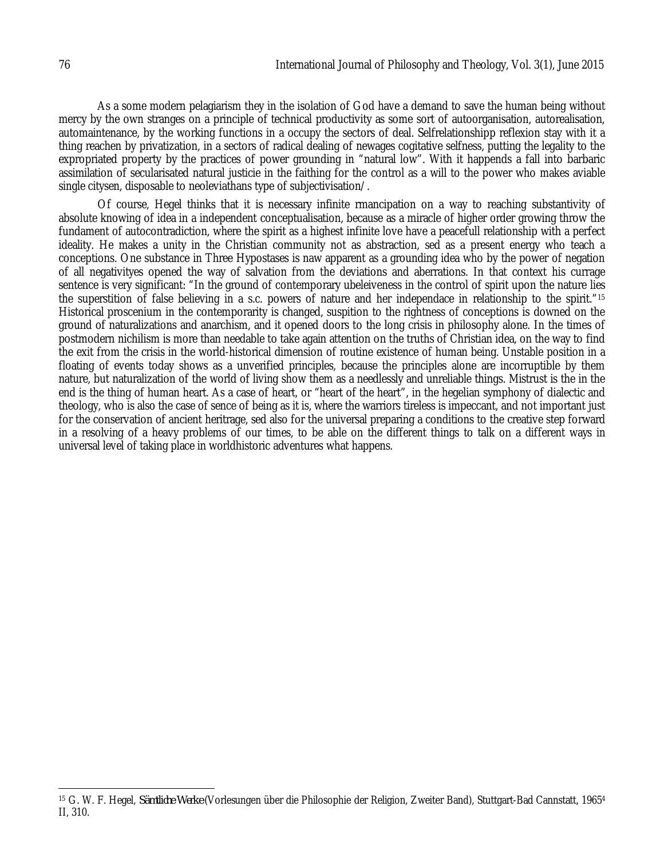As a some modern pelagiarism they in the isolation of God have a demand to save the human being without mercy by the own stranges on a principle of technical productivity as some sort of autoorganisation, autorealisation, automaintenance, by the working functions in a occupy the sectors of deal. Selfrelationshipp reflexion stay with it a thing reachen by privatization, in a sectors of radical dealing of newages cogitative selfness, putting the legality to the expropriated property by the practices of power grounding in "natural low". With it happends a fall into barbaric assimilation of secularisated natural justicie in the faithing for the control as a will to the power who makes aviable single citysen, disposable to neoleviathans type of subjectivisation/.

Of course, Hegel thinks that it is necessary infinite rmancipation on a way to reaching substantivity of absolute knowing of idea in a independent conceptualisation, because as a miracle of higher order growing throw the fundament of autocontradiction, where the spirit as a highest infinite love have a peacefull relationship with a perfect ideality. He makes a unity in the Christian community not as abstraction, sed as a present energy who teach a conceptions. One substance in Three Hypostases is naw apparent as a grounding idea who by the power of negation of all negativityes opened the way of salvation from the deviations and aberrations. In that context his currage sentence is very significant: "In the ground of contemporary ubeleiveness in the control of spirit upon the nature lies the superstition of false believing in a s.c. powers of nature and her independace in relationship to the spirit."<sup>15</sup> Historical proscenium in the contemporarity is changed, suspition to the rightness of conceptions is downed on the ground of naturalizations and anarchism, and it opened doors to the long crisis in philosophy alone. In the times of postmodern nichilism is more than needable to take again attention on the truths of Christian idea, on the way to find the exit from the crisis in the world-historical dimension of routine existence of human being. Unstable position in a floating of events today shows as a unverified principles, because the principles alone are incorruptible by them nature, but naturalization of the world of living show them as a needlessly and unreliable things. Mistrust is the in the end is the thing of human heart. As a case of heart, or "heart of the heart", in the hegelian symphony of dialectic and theology, who is also the case of sence of being as it is, where the warriors tireless is impeccant, and not important just for the conservation of ancient heritrage, sed also for the universal preparing a conditions to the creative step forward in a resolving of a heavy problems of our times, to be able on the different things to talk on a different ways in universal level of taking place in worldhistoric adventures what happens.

 $\overline{\phantom{a}}$ <sup>15</sup> G. W. F. Hegel, *Sämtliche Werke* (Vorlesungen über die Philosophie der Religion, Zweiter Band), Stuttgart-Bad Cannstatt, 1965<sup>4</sup> II, 310.